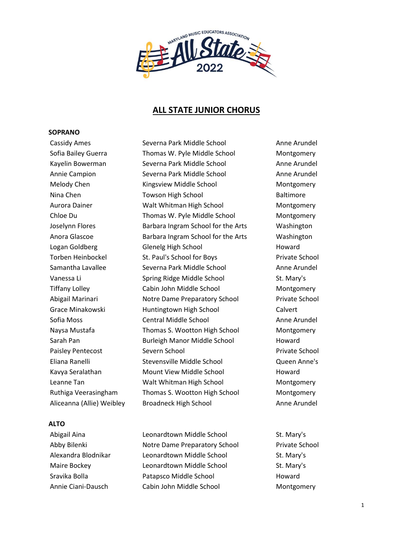

# **ALL STATE JUNIOR CHORUS**

# **SOPRANO**

# **ALTO**

Cassidy Ames Severna Park Middle School Anne Arundel Sofia Bailey Guerra **Thomas W. Pyle Middle School** Montgomery Kayelin Bowerman Severna Park Middle School Anne Arundel Annie Campion Severna Park Middle School Anne Arundel Melody Chen **Kingsview Middle School** Montgomery Nina Chen **Towson High School** Baltimore Aurora Dainer Walt Whitman High School Montgomery Chloe Du Thomas W. Pyle Middle School Montgomery Joselynn Flores Barbara Ingram School for the Arts Washington Anora Glascoe **Barbara Ingram School for the Arts** Washington Logan Goldberg Glenelg High School Howard Torben Heinbockel St. Paul's School for Boys Frivate School Samantha Lavallee Severna Park Middle School Anne Arundel Vanessa Li Spring Ridge Middle School St. Mary's Tiffany Lolley Cabin John Middle School Montgomery Abigail Marinari Notre Dame Preparatory School Private School Grace Minakowski Huntingtown High School Calvert Sofia Moss **Central Middle School** Anne Arundel Naysa Mustafa Thomas S. Wootton High School Montgomery Sarah Pan **Burleigh Manor Middle School** Howard Paisley Pentecost Severn School **Private School** Private School Eliana Ranelli Stevensville Middle School Queen Anne's Kavya Seralathan Mount View Middle School Howard Leanne Tan **Malt Whitman High School** Montgomery Ruthiga Veerasingham Thomas S. Wootton High School Montgomery Aliceanna (Allie) Weibley Broadneck High School Anne Arundel

Abigail Aina **Leonardtown Middle School** St. Mary's Abby Bilenki Notre Dame Preparatory School Private School Alexandra Blodnikar and Leonardtown Middle School St. Mary's Maire Bockey **Leonardtown Middle School** St. Mary's Sravika Bolla Patapsco Middle School Howard Annie Ciani-Dausch Cabin John Middle School Montgomery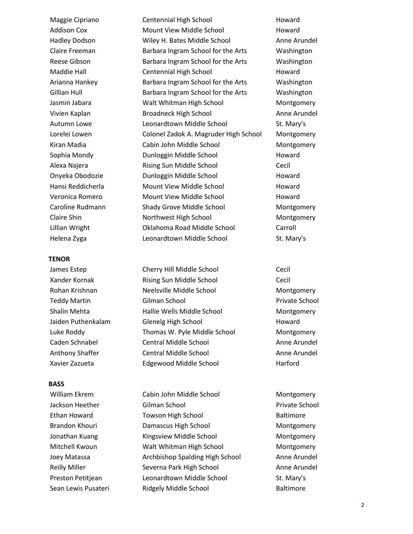## **TENOR**

# **BASS**

Maggie Cipriano **Centennial High School Contennial High School** Howard Addison Cox Mount View Middle School Howard Hadley Dodson Wiley H. Bates Middle School Anne Arundel Claire Freeman Barbara Ingram School for the Arts Washington Reese Gibson **Barbara Ingram School for the Arts** Washington Maddie Hall **Centennial High School** Howard Arianna Hankey Barbara Ingram School for the Arts Washington Gillian Hull Barbara Ingram School for the Arts Washington Jasmin Jabara Walt Whitman High School Montgomery Vivien Kaplan Broadneck High School Anne Arundel Autumn Lowe **Leonardtown Middle School** St. Mary's Lorelei Lowen Colonel Zadok A. Magruder High School Montgomery Kiran Madia Cabin John Middle School Montgomery Sophia Mondy **Dunloggin Middle School** Howard Alexa Najera Rising Sun Middle School Cecil Onyeka Obodozie Dunloggin Middle School Howard Hansi Reddicherla Mount View Middle School Howard Veronica Romero Mount View Middle School Howard Caroline Rudmann Shady Grove Middle School Montgomery Claire Shin Northwest High School Montgomery Lillian Wright Oklahoma Road Middle School Carroll Helena Zyga **Leonardtown Middle School** St. Mary's

James Estep **Cherry Hill Middle School** Cecil Xander Kornak Rising Sun Middle School Cecil Rohan Krishnan **Neelsville Middle School** Montgomery Teddy Martin Gilman School Private School Shalin Mehta Hallie Wells Middle School Montgomery Jaiden Puthenkalam Glenelg High School Howard Luke Roddy Thomas W. Pyle Middle School Montgomery Caden Schnabel Central Middle School Anne Arundel Anthony Shaffer **Central Middle School** Anne Arundel Xavier Zazueta Edgewood Middle School Harford

William Ekrem **Cabin John Middle School** Montgomery Jackson Heether Gilman School Private School Ethan Howard **Towson High School** Baltimore Brandon Khouri Damascus High School Montgomery Jonathan Kuang Kingsview Middle School Montgomery Mitchell Kwoun Walt Whitman High School Montgomery Joey Matassa Archbishop Spalding High School Anne Arundel Reilly Miller **Severna Park High School** Anne Arundel Preston Petitjean Leonardtown Middle School St. Mary's Sean Lewis Pusateri **Ridgely Middle School** Baltimore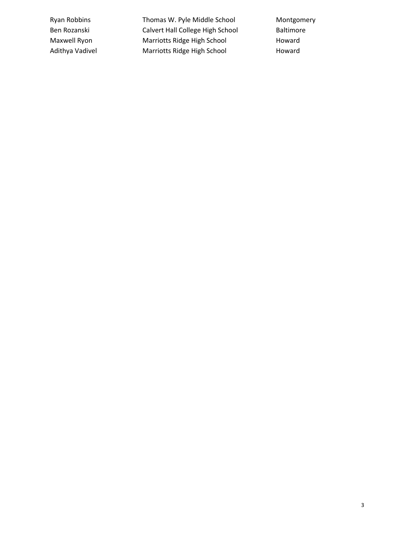Ryan Robbins Thomas W. Pyle Middle School Montgomery Ben Rozanski **Calvert Hall College High School** Baltimore Maxwell Ryon Marriotts Ridge High School Howard Adithya Vadivel **Marriotts Ridge High School** Howard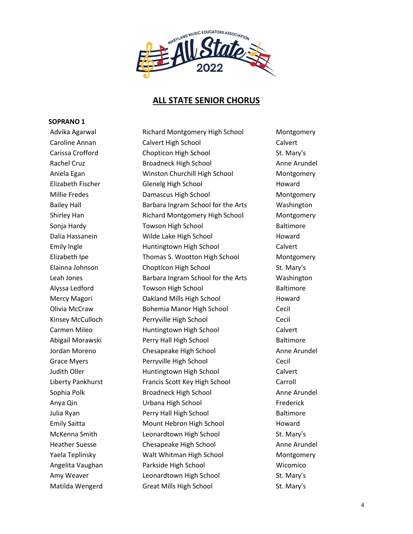

# **ALL STATE SENIOR CHORUS**

# **SOPRANO 1**

Advika Agarwal **Richard Montgomery High School** Montgomery Caroline Annan Calvert High School Calvert Carissa Crofford Chopticon High School St. Mary's Rachel Cruz **Broadneck High School** Anne Arundel Aniela Egan Winston Churchill High School Montgomery Elizabeth Fischer Glenelg High School Howard Millie Fredes Damascus High School Montgomery Bailey Hall **Barbara Ingram School for the Arts** Washington Shirley Han Richard Montgomery High School Montgomery Sonja Hardy **Towson High School** Baltimore Dalia Hassanein Wilde Lake High School Howard Emily Ingle **Emily Ingle** Huntingtown High School **Calvert** Elizabeth Ipe Thomas S. Wootton High School Montgomery Elainna Johnson Chopticon High School St. Mary's Leah Jones **Barbara Ingram School for the Arts** Washington Alyssa Ledford **Towson High School** Baltimore Mercy Magori **Cakland Mills High School** Howard Olivia McCraw Bohemia Manor High School Cecil Kinsey McCulloch **Perryville High School** Cecil Carmen Mileo **Huntingtown High School** Calvert Abigail Morawski Perry Hall High School Baltimore Jordan Moreno Chesapeake High School Anne Arundel Grace Myers **Perryville High School** Cecil Judith Oller **Huntingtown High School** Calvert Liberty Pankhurst Francis Scott Key High School Carroll Sophia Polk **Broadneck High School** Anne Arundel Anya Qin Urbana High School Frederick Julia Ryan Perry Hall High School Baltimore Emily Saitta Mount Hebron High School Howard McKenna Smith **Leonardtown High School** St. Mary's Heather Suesse **Chesapeake High School** Anne Arundel Yaela Teplinsky Walt Whitman High School Montgomery Angelita Vaughan Parkside High School Wicomico Amy Weaver **Leonardtown High School** St. Mary's Matilda Wengerd Great Mills High School St. Mary's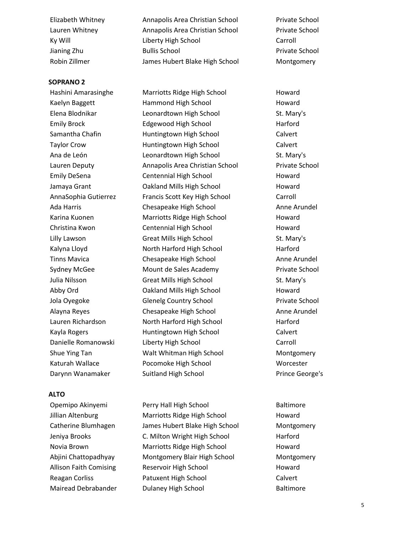# **SOPRANO 2**

# **ALTO**

Elizabeth Whitney Annapolis Area Christian School Private School Lauren Whitney Annapolis Area Christian School Private School Ky Will **Carroll** Liberty High School **Carroll** Carroll Jianing Zhu Bullis School Private School Robin Zillmer The Summer James Hubert Blake High School Montgomery

Hashini Amarasinghe Marriotts Ridge High School Howard Kaelyn Baggett **Hammond High School** Howard Elena Blodnikar Leonardtown High School St. Mary's Emily Brock Edgewood High School Harford Samantha Chafin **Huntingtown High School** Calvert Taylor Crow **Huntingtown High School** Calvert Ana de León Leonardtown High School St. Mary's Lauren Deputy Annapolis Area Christian School Private School Emily DeSena Centennial High School Howard Jamaya Grant Oakland Mills High School Howard AnnaSophia Gutierrez Francis Scott Key High School Carroll Ada Harris **Chesapeake High School** Anne Arundel Karina Kuonen Marriotts Ridge High School Howard Christina Kwon Centennial High School Howard Lilly Lawson **Great Mills High School** St. Mary's Kalyna Lloyd **North Harford High School** Harford High School Harford Tinns Mavica Chesapeake High School Anne Arundel Sydney McGee **Mount de Sales Academy** Private School Julia Nilsson Great Mills High School St. Mary's Abby Ord Oakland Mills High School Howard Jola Oyegoke Glenelg Country School Private School Alayna Reyes Chesapeake High School Anne Arundel Lauren Richardson North Harford High School Harford Kayla Rogers **Example 20 Huntingtown High School** Calvert Danielle Romanowski Liberty High School Carroll Shue Ying Tan Walt Whitman High School Montgomery Katurah Wallace Pocomoke High School Worcester Darynn Wanamaker Suitland High School Prince George's

Opemipo Akinyemi Perry Hall High School Baltimore Jillian Altenburg **Marriotts Ridge High School** Howard Catherine Blumhagen James Hubert Blake High School Montgomery Jeniya Brooks C. Milton Wright High School Harford Novia Brown Marriotts Ridge High School Howard Abjini Chattopadhyay Montgomery Blair High School Montgomery Allison Faith Comising Reservoir High School Howard Reagan Corliss **Patuxent High School** Calvert Mairead Debrabander Dulaney High School Baltimore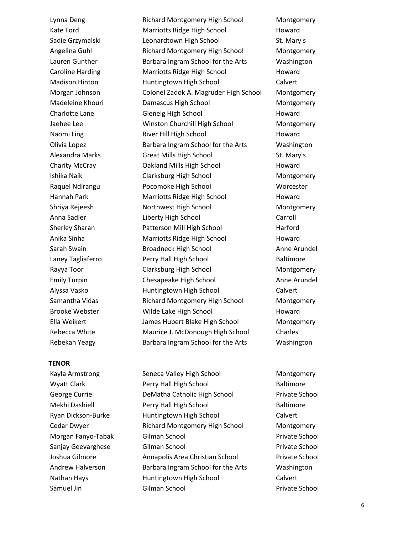## **TENOR**

Lynna Deng Theory Richard Montgomery High School Theory Montgomery Kate Ford **Marriotts Ridge High School** Howard Sadie Grzymalski **Leonardtown High School** St. Mary's Angelina Guhl Richard Montgomery High School Montgomery Lauren Gunther **Barbara Ingram School for the Arts** Washington Caroline Harding Marriotts Ridge High School Howard Madison Hinton **Huntingtown High School** Calvert Morgan Johnson Colonel Zadok A. Magruder High School Montgomery Madeleine Khouri Damascus High School Montgomery Charlotte Lane Glenelg High School Howard Jaehee Lee Winston Churchill High School Montgomery Naomi Ling **River Hill High School** Howard Howard Olivia Lopez Barbara Ingram School for the Arts Washington Alexandra Marks Great Mills High School St. Mary's Charity McCray Oakland Mills High School Howard Ishika Naik Clarksburg High School Montgomery Raquel Ndirangu Pocomoke High School Worcester Hannah Park **Marriotts Ridge High School** Howard Shriya Rejeesh Northwest High School Montgomery Anna Sadler **Liberty High School** Carroll Carroll Carroll Sherley Sharan **Patterson Mill High School** Harford Anika Sinha Marriotts Ridge High School Howard Sarah Swain Broadneck High School Anne Arundel Laney Tagliaferro Perry Hall High School Baltimore Rayya Toor **Clarksburg High School** Montgomery Emily Turpin Chesapeake High School Anne Arundel Alyssa Vasko **Huntingtown High School** Calvert Samantha Vidas **Richard Montgomery High School** Montgomery Brooke Webster Wilde Lake High School Howard Ella Weikert James Hubert Blake High School Montgomery Rebecca White Maurice J. McDonough High School Charles Rebekah Yeagy **Barbara Ingram School for the Arts** Washington

Kayla Armstrong Seneca Valley High School Montgomery Wyatt Clark **Perry Hall High School** Baltimore George Currie **Currie DeMatha Catholic High School** Private School Mekhi Dashiell **Perry Hall High School** Baltimore Ryan Dickson-Burke Huntingtown High School Calvert Cedar Dwyer Richard Montgomery High School Montgomery Morgan Fanyo-Tabak Gilman School Private School Sanjay Geevarghese Gilman School Private School Joshua Gilmore Annapolis Area Christian School Private School Andrew Halverson Barbara Ingram School for the Arts Washington Nathan Hays **Huntingtown High School** Calvert Samuel Jin Gilman School Private School